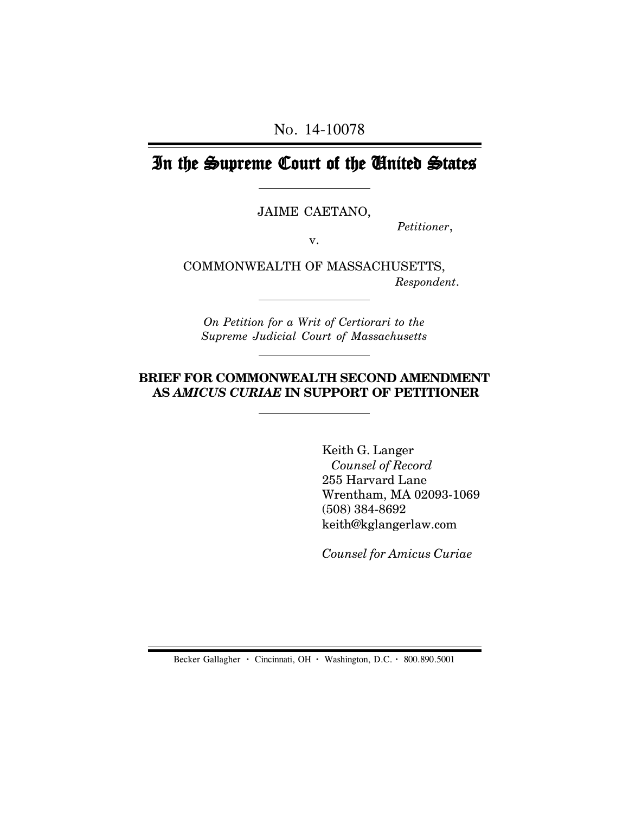NO. 14-10078

# In the Supreme Court of the United States

JAIME CAETANO,

*Petitioner*,

v.

COMMONWEALTH OF MASSACHUSETTS,  *Respondent*.

*On Petition for a Writ of Certiorari to the Supreme Judicial Court of Massachusetts*

## **BRIEF FOR COMMONWEALTH SECOND AMENDMENT AS** *AMICUS CURIAE* **IN SUPPORT OF PETITIONER**

Keith G. Langer *Counsel of Record* 255 Harvard Lane Wrentham, MA 02093-1069 (508) 384-8692 keith@kglangerlaw.com

*Counsel for Amicus Curiae*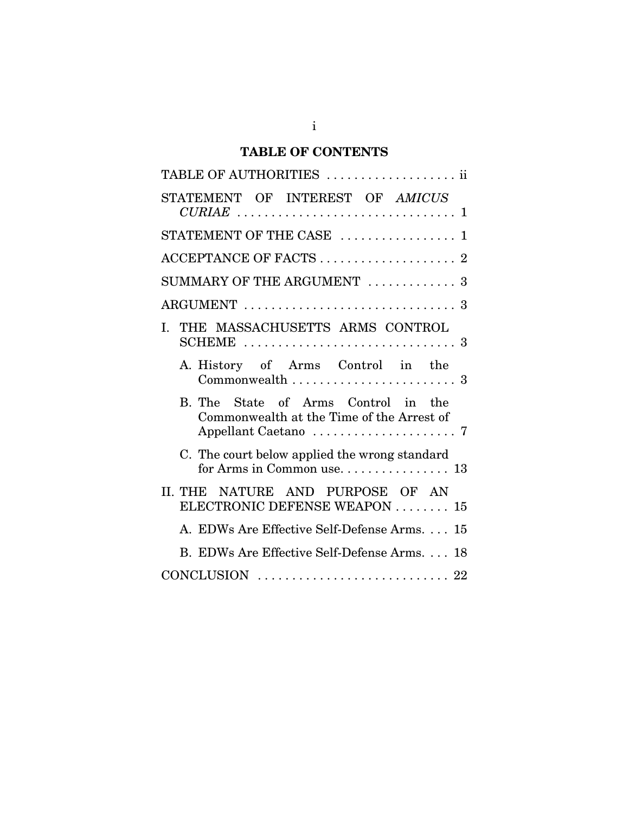## **TABLE OF CONTENTS**

| TABLE OF AUTHORITIES  ii                                                         |
|----------------------------------------------------------------------------------|
| STATEMENT OF INTEREST OF AMICUS                                                  |
| STATEMENT OF THE CASE  1                                                         |
|                                                                                  |
| $SUMMARY$ OF THE ARGUMENT $\ldots \ldots \ldots \, 3$                            |
|                                                                                  |
| THE MASSACHUSETTS ARMS CONTROL<br>L.                                             |
| A. History of Arms Control in the                                                |
| B. The State of Arms Control in the<br>Commonwealth at the Time of the Arrest of |
| C. The court below applied the wrong standard<br>for Arms in Common use 13       |
| II. THE NATURE AND PURPOSE OF AN<br>ELECTRONIC DEFENSE WEAPON  15                |
| A. EDWs Are Effective Self-Defense Arms. 15                                      |
| B. EDWs Are Effective Self-Defense Arms. 18                                      |
|                                                                                  |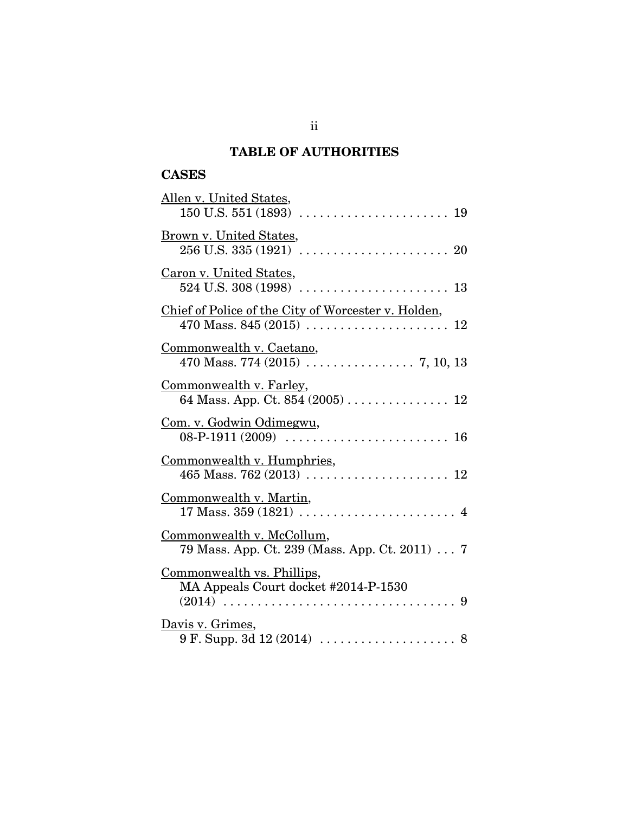## **TABLE OF AUTHORITIES**

## **CASES**

| Allen v. United States,                                              |
|----------------------------------------------------------------------|
|                                                                      |
| Brown v. United States,                                              |
|                                                                      |
| Caron v. United States,                                              |
|                                                                      |
| Chief of Police of the City of Worcester v. Holden,                  |
|                                                                      |
| Commonwealth v. Caetano,                                             |
|                                                                      |
| Commonwealth v. Farley,                                              |
| 64 Mass. App. Ct. $854 (2005) \ldots \ldots \ldots \ldots \ldots 12$ |
| <u>Com. v. Godwin Odimegwu,</u>                                      |
|                                                                      |
| Commonwealth v. Humphries,                                           |
|                                                                      |
| Commonwealth v. Martin,                                              |
|                                                                      |
| Commonwealth v. McCollum,                                            |
| 79 Mass. App. Ct. 239 (Mass. App. Ct. 2011) 7                        |
| Commonwealth vs. Phillips,                                           |
| MA Appeals Court docket #2014-P-1530                                 |
| 9                                                                    |
| Davis v. Grimes,                                                     |
|                                                                      |
|                                                                      |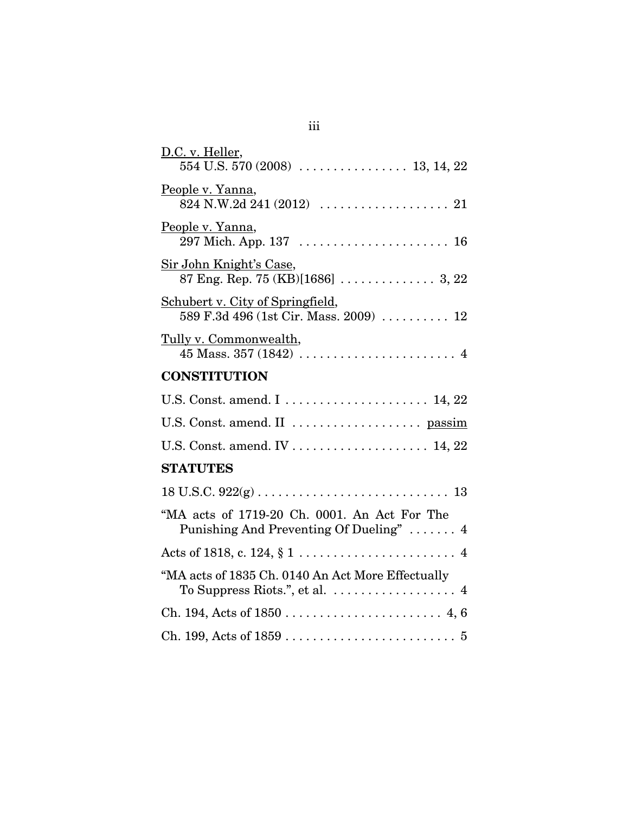| D.C. v. Heller,                                                                                                  |
|------------------------------------------------------------------------------------------------------------------|
| <u>People v. Yanna,</u>                                                                                          |
| People v. Yanna,                                                                                                 |
| Sir John Knight's Case,                                                                                          |
| Schubert v. City of Springfield,<br>589 F.3d 496 (1st Cir. Mass. 2009)  12                                       |
| Tully v. Commonwealth,                                                                                           |
| <b>CONSTITUTION</b>                                                                                              |
| U.S. Const. amend. I  14, 22                                                                                     |
|                                                                                                                  |
|                                                                                                                  |
| <b>STATUTES</b>                                                                                                  |
|                                                                                                                  |
| "MA acts of 1719-20 Ch. 0001. An Act For The<br>Punishing And Preventing Of Dueling"  4                          |
|                                                                                                                  |
| "MA acts of 1835 Ch. 0140 An Act More Effectually<br>To Suppress Riots.", et al. $\dots \dots \dots \dots \dots$ |
|                                                                                                                  |
|                                                                                                                  |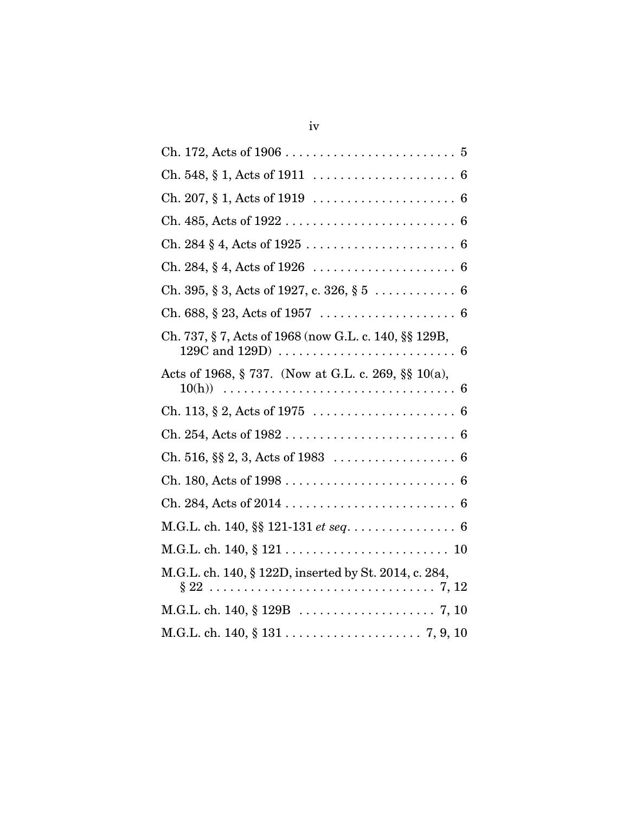| Ch. 395, § 3, Acts of 1927, c. 326, § 5 6                      |
|----------------------------------------------------------------|
|                                                                |
| Ch. 737, § 7, Acts of 1968 (now G.L. c. 140, §§ 129B,          |
| Acts of 1968, $\S 737$ . (Now at G.L. c. 269, $\S \ \ 10(a)$ , |
|                                                                |
| $Ch. 254, Acts of 1982 \ldots  \ldots  \ldots 6$               |
|                                                                |
|                                                                |
|                                                                |
|                                                                |
|                                                                |
| M.G.L. ch. 140, § 122D, inserted by St. 2014, c. 284,          |
|                                                                |
|                                                                |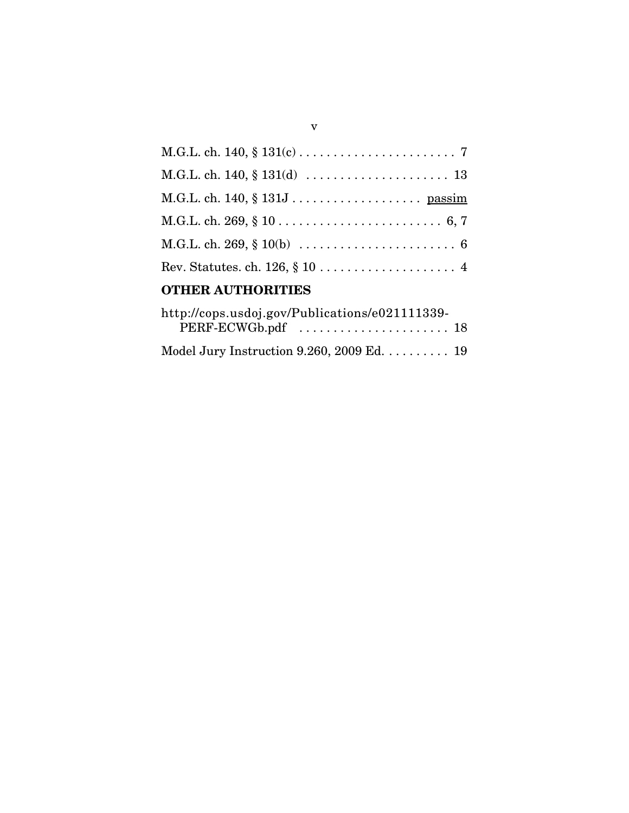## **OTHER AUTHORITIES**

| http://cops.usdoj.gov/Publications/e021111339-    |  |
|---------------------------------------------------|--|
|                                                   |  |
| Model Jury Instruction 9.260, 2009 Ed. $\dots$ 19 |  |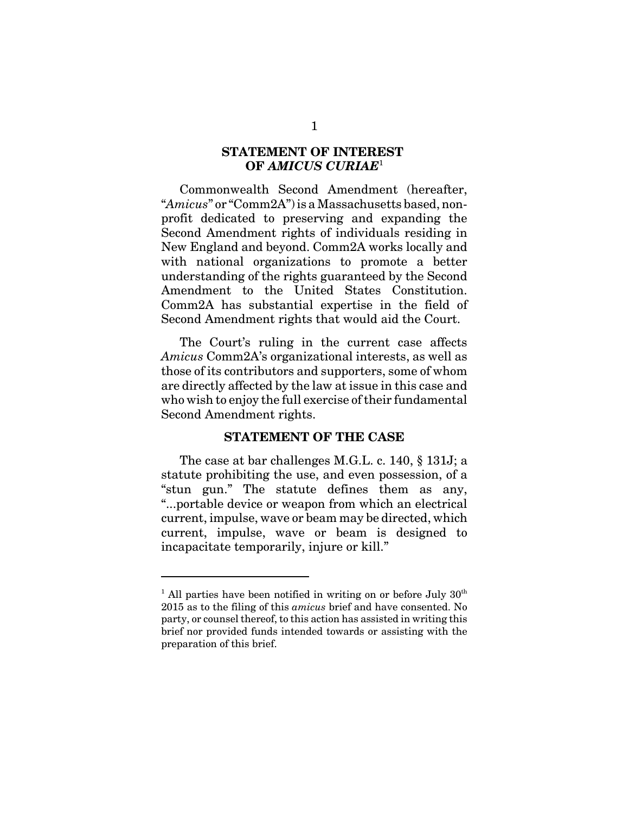## **STATEMENT OF INTEREST OF** *AMICUS CURIAE*<sup>1</sup>

Commonwealth Second Amendment (hereafter, "*Amicus*" or "Comm2A") is a Massachusetts based, nonprofit dedicated to preserving and expanding the Second Amendment rights of individuals residing in New England and beyond. Comm2A works locally and with national organizations to promote a better understanding of the rights guaranteed by the Second Amendment to the United States Constitution. Comm2A has substantial expertise in the field of Second Amendment rights that would aid the Court.

The Court's ruling in the current case affects *Amicus* Comm2A's organizational interests, as well as those of its contributors and supporters, some of whom are directly affected by the law at issue in this case and who wish to enjoy the full exercise of their fundamental Second Amendment rights.

#### **STATEMENT OF THE CASE**

The case at bar challenges M.G.L. c. 140, § 131J; a statute prohibiting the use, and even possession, of a "stun gun." The statute defines them as any, "...portable device or weapon from which an electrical current, impulse, wave or beam may be directed, which current, impulse, wave or beam is designed to incapacitate temporarily, injure or kill."

<sup>&</sup>lt;sup>1</sup> All parties have been notified in writing on or before July  $30<sup>th</sup>$ 2015 as to the filing of this *amicus* brief and have consented. No party, or counsel thereof, to this action has assisted in writing this brief nor provided funds intended towards or assisting with the preparation of this brief.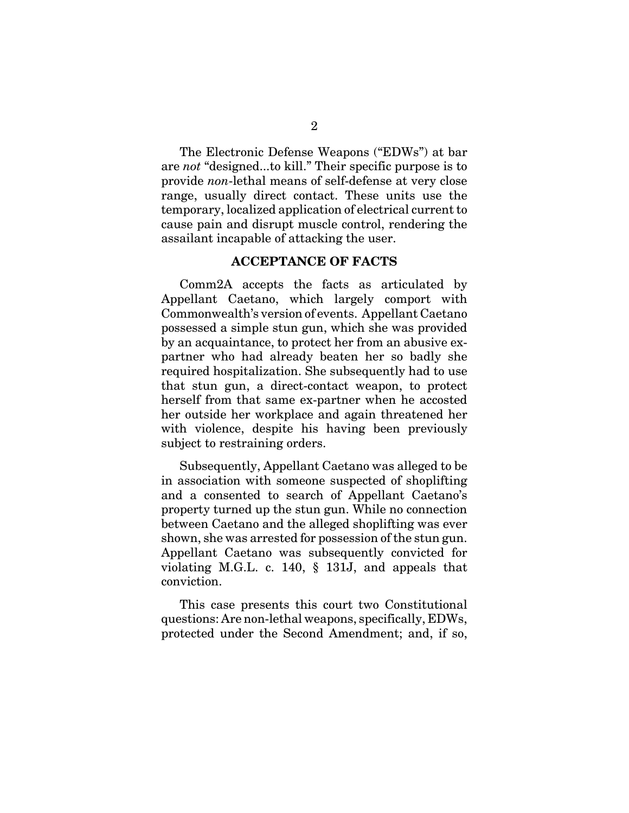The Electronic Defense Weapons ("EDWs") at bar are *not* "designed...to kill." Their specific purpose is to provide *non*-lethal means of self-defense at very close range, usually direct contact. These units use the temporary, localized application of electrical current to cause pain and disrupt muscle control, rendering the assailant incapable of attacking the user.

#### **ACCEPTANCE OF FACTS**

Comm2A accepts the facts as articulated by Appellant Caetano, which largely comport with Commonwealth's version of events. Appellant Caetano possessed a simple stun gun, which she was provided by an acquaintance, to protect her from an abusive expartner who had already beaten her so badly she required hospitalization. She subsequently had to use that stun gun, a direct-contact weapon, to protect herself from that same ex-partner when he accosted her outside her workplace and again threatened her with violence, despite his having been previously subject to restraining orders.

Subsequently, Appellant Caetano was alleged to be in association with someone suspected of shoplifting and a consented to search of Appellant Caetano's property turned up the stun gun. While no connection between Caetano and the alleged shoplifting was ever shown, she was arrested for possession of the stun gun. Appellant Caetano was subsequently convicted for violating M.G.L. c. 140, § 131J, and appeals that conviction.

This case presents this court two Constitutional questions: Are non-lethal weapons, specifically, EDWs, protected under the Second Amendment; and, if so,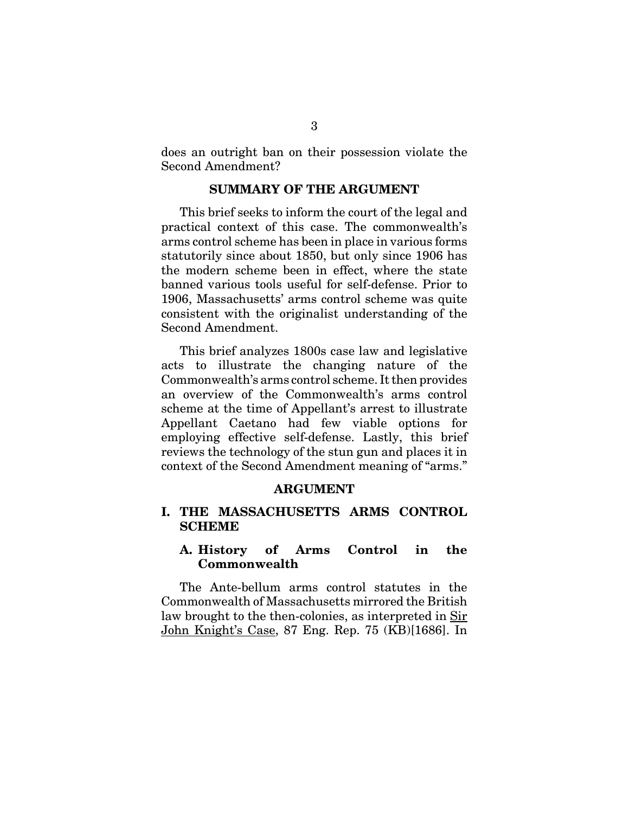does an outright ban on their possession violate the Second Amendment?

#### **SUMMARY OF THE ARGUMENT**

This brief seeks to inform the court of the legal and practical context of this case. The commonwealth's arms control scheme has been in place in various forms statutorily since about 1850, but only since 1906 has the modern scheme been in effect, where the state banned various tools useful for self-defense. Prior to 1906, Massachusetts' arms control scheme was quite consistent with the originalist understanding of the Second Amendment.

This brief analyzes 1800s case law and legislative acts to illustrate the changing nature of the Commonwealth's arms control scheme. It then provides an overview of the Commonwealth's arms control scheme at the time of Appellant's arrest to illustrate Appellant Caetano had few viable options for employing effective self-defense. Lastly, this brief reviews the technology of the stun gun and places it in context of the Second Amendment meaning of "arms."

#### **ARGUMENT**

### **I. THE MASSACHUSETTS ARMS CONTROL SCHEME**

#### **A. History of Arms Control in the Commonwealth**

The Ante-bellum arms control statutes in the Commonwealth of Massachusetts mirrored the British law brought to the then-colonies, as interpreted in Sir John Knight's Case, 87 Eng. Rep. 75 (KB)[1686]. In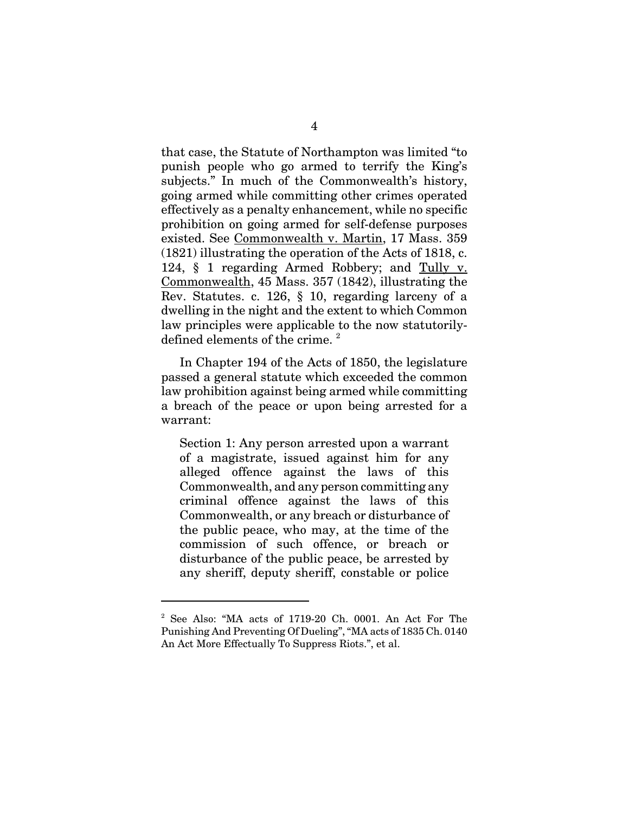that case, the Statute of Northampton was limited "to punish people who go armed to terrify the King's subjects." In much of the Commonwealth's history, going armed while committing other crimes operated effectively as a penalty enhancement, while no specific prohibition on going armed for self-defense purposes existed. See Commonwealth v. Martin, 17 Mass. 359 (1821) illustrating the operation of the Acts of 1818, c. 124, § 1 regarding Armed Robbery; and Tully v. Commonwealth, 45 Mass. 357 (1842), illustrating the Rev. Statutes. c. 126, § 10, regarding larceny of a dwelling in the night and the extent to which Common law principles were applicable to the now statutorilydefined elements of the crime.<sup>2</sup>

In Chapter 194 of the Acts of 1850, the legislature passed a general statute which exceeded the common law prohibition against being armed while committing a breach of the peace or upon being arrested for a warrant:

Section 1: Any person arrested upon a warrant of a magistrate, issued against him for any alleged offence against the laws of this Commonwealth, and any person committing any criminal offence against the laws of this Commonwealth, or any breach or disturbance of the public peace, who may, at the time of the commission of such offence, or breach or disturbance of the public peace, be arrested by any sheriff, deputy sheriff, constable or police

<sup>2</sup> See Also: "MA acts of 1719-20 Ch. 0001. An Act For The Punishing And Preventing Of Dueling", "MA acts of 1835 Ch. 0140 An Act More Effectually To Suppress Riots.", et al.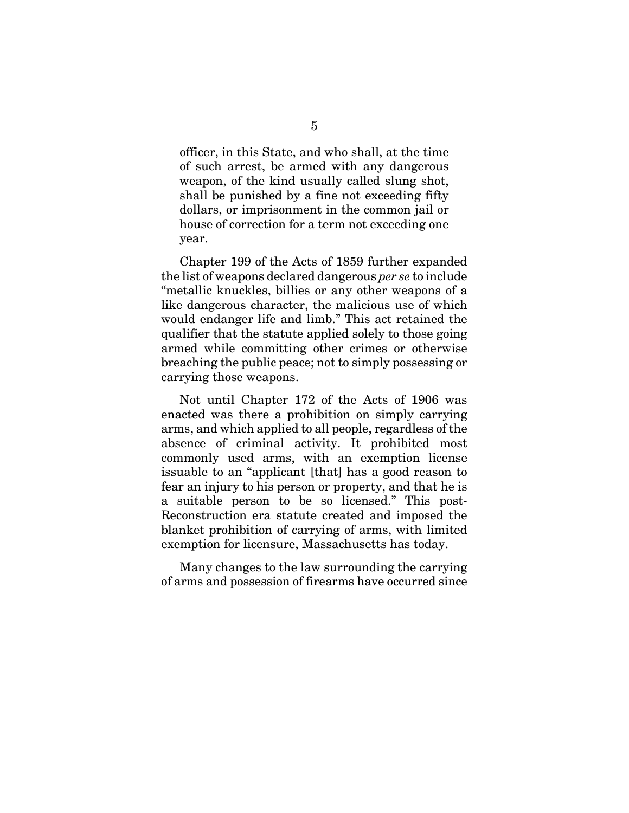officer, in this State, and who shall, at the time of such arrest, be armed with any dangerous weapon, of the kind usually called slung shot, shall be punished by a fine not exceeding fifty dollars, or imprisonment in the common jail or house of correction for a term not exceeding one year.

Chapter 199 of the Acts of 1859 further expanded the list of weapons declared dangerous *per se* to include "metallic knuckles, billies or any other weapons of a like dangerous character, the malicious use of which would endanger life and limb." This act retained the qualifier that the statute applied solely to those going armed while committing other crimes or otherwise breaching the public peace; not to simply possessing or carrying those weapons.

Not until Chapter 172 of the Acts of 1906 was enacted was there a prohibition on simply carrying arms, and which applied to all people, regardless of the absence of criminal activity. It prohibited most commonly used arms, with an exemption license issuable to an "applicant [that] has a good reason to fear an injury to his person or property, and that he is a suitable person to be so licensed." This post-Reconstruction era statute created and imposed the blanket prohibition of carrying of arms, with limited exemption for licensure, Massachusetts has today.

Many changes to the law surrounding the carrying of arms and possession of firearms have occurred since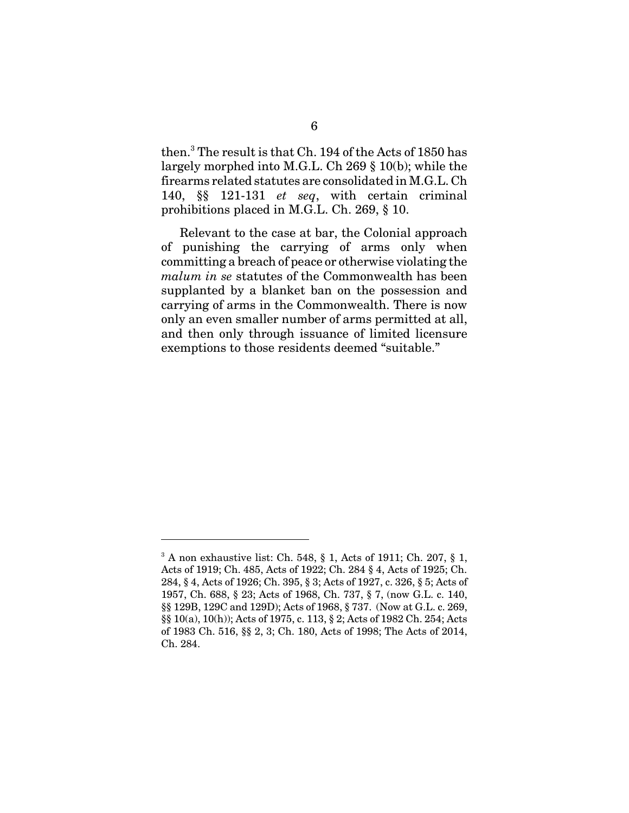then.<sup>3</sup> The result is that Ch. 194 of the Acts of 1850 has largely morphed into M.G.L. Ch 269 § 10(b); while the firearms related statutes are consolidated in M.G.L. Ch 140, §§ 121-131 *et seq*, with certain criminal prohibitions placed in M.G.L. Ch. 269, § 10.

Relevant to the case at bar, the Colonial approach of punishing the carrying of arms only when committing a breach of peace or otherwise violating the *malum in se* statutes of the Commonwealth has been supplanted by a blanket ban on the possession and carrying of arms in the Commonwealth. There is now only an even smaller number of arms permitted at all, and then only through issuance of limited licensure exemptions to those residents deemed "suitable."

 $3$  A non exhaustive list: Ch. 548, § 1, Acts of 1911; Ch. 207, § 1, Acts of 1919; Ch. 485, Acts of 1922; Ch. 284 § 4, Acts of 1925; Ch. 284, § 4, Acts of 1926; Ch. 395, § 3; Acts of 1927, c. 326, § 5; Acts of 1957, Ch. 688, § 23; Acts of 1968, Ch. 737, § 7, (now G.L. c. 140, §§ 129B, 129C and 129D); Acts of 1968, § 737. (Now at G.L. c. 269, §§ 10(a), 10(h)); Acts of 1975, c. 113, § 2; Acts of 1982 Ch. 254; Acts of 1983 Ch. 516, §§ 2, 3; Ch. 180, Acts of 1998; The Acts of 2014, Ch. 284.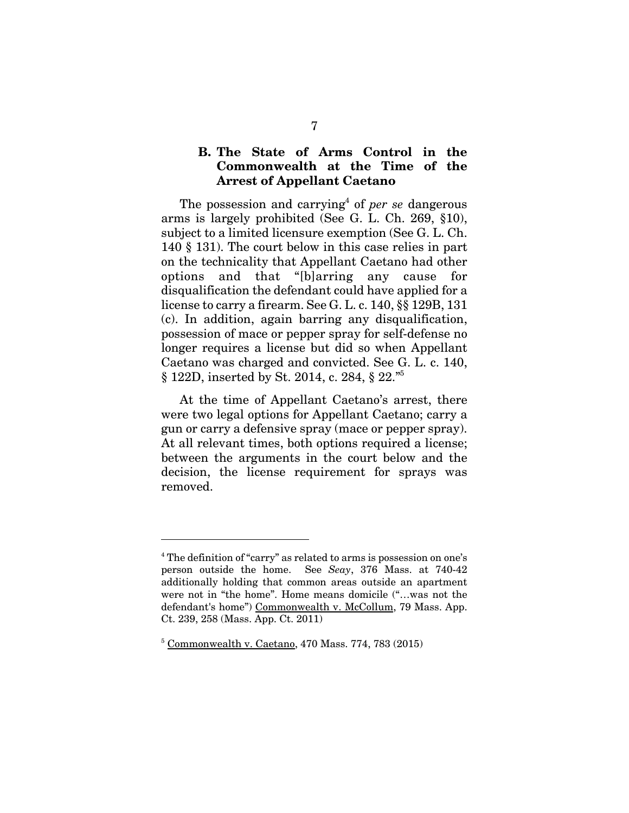### **B. The State of Arms Control in the Commonwealth at the Time of the Arrest of Appellant Caetano**

The possession and carrying<sup>4</sup> of *per se* dangerous arms is largely prohibited (See G. L. Ch. 269, §10), subject to a limited licensure exemption (See G. L. Ch. 140 § 131). The court below in this case relies in part on the technicality that Appellant Caetano had other options and that "[b]arring any cause for disqualification the defendant could have applied for a license to carry a firearm. See G. L. c. 140, §§ 129B, 131 (c). In addition, again barring any disqualification, possession of mace or pepper spray for self-defense no longer requires a license but did so when Appellant Caetano was charged and convicted. See G. L. c. 140, § 122D, inserted by St. 2014, c. 284, § 22."5

At the time of Appellant Caetano's arrest, there were two legal options for Appellant Caetano; carry a gun or carry a defensive spray (mace or pepper spray). At all relevant times, both options required a license; between the arguments in the court below and the decision, the license requirement for sprays was removed.

<sup>&</sup>lt;sup>4</sup> The definition of "carry" as related to arms is possession on one's person outside the home. See *Seay*, 376 Mass. at 740-42 additionally holding that common areas outside an apartment were not in "the home". Home means domicile ("…was not the defendant's home") Commonwealth v. McCollum, 79 Mass. App. Ct. 239, 258 (Mass. App. Ct. 2011)

<sup>&</sup>lt;sup>5</sup> Commonwealth v. Caetano, 470 Mass. 774, 783 (2015)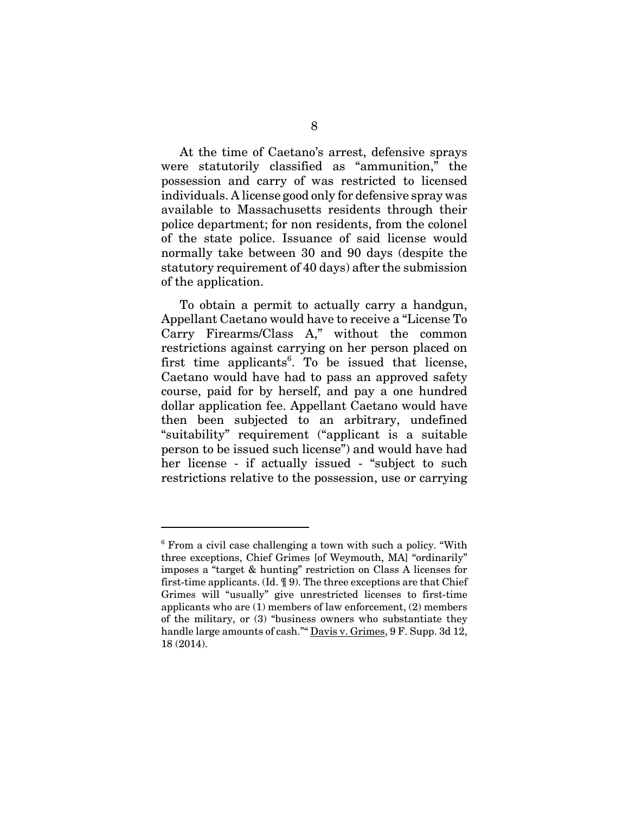At the time of Caetano's arrest, defensive sprays were statutorily classified as "ammunition," the possession and carry of was restricted to licensed individuals. A license good only for defensive spray was available to Massachusetts residents through their police department; for non residents, from the colonel of the state police. Issuance of said license would normally take between 30 and 90 days (despite the statutory requirement of 40 days) after the submission of the application.

To obtain a permit to actually carry a handgun, Appellant Caetano would have to receive a "License To Carry Firearms/Class A," without the common restrictions against carrying on her person placed on first time applicants<sup>6</sup>. To be issued that license, Caetano would have had to pass an approved safety course, paid for by herself, and pay a one hundred dollar application fee. Appellant Caetano would have then been subjected to an arbitrary, undefined "suitability" requirement ("applicant is a suitable person to be issued such license") and would have had her license - if actually issued - "subject to such restrictions relative to the possession, use or carrying

<sup>6</sup> From a civil case challenging a town with such a policy. "With three exceptions, Chief Grimes [of Weymouth, MA] "ordinarily" imposes a "target & hunting" restriction on Class A licenses for first-time applicants. (Id. ¶ 9). The three exceptions are that Chief Grimes will "usually" give unrestricted licenses to first-time applicants who are (1) members of law enforcement, (2) members of the military, or (3) "business owners who substantiate they handle large amounts of cash."" Davis v. Grimes, 9 F. Supp. 3d 12, 18 (2014).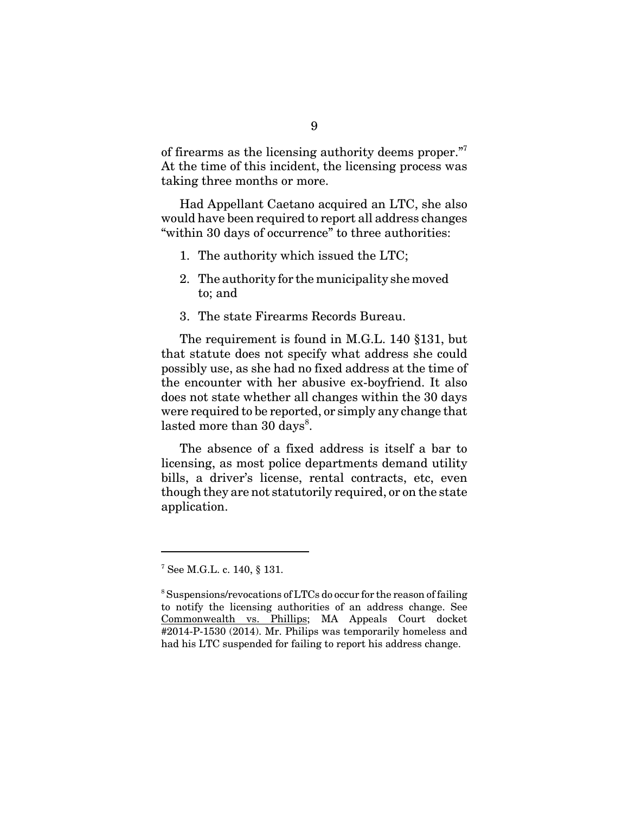of firearms as the licensing authority deems proper."7 At the time of this incident, the licensing process was taking three months or more.

Had Appellant Caetano acquired an LTC, she also would have been required to report all address changes "within 30 days of occurrence" to three authorities:

- 1. The authority which issued the LTC;
- 2. The authority for the municipality she moved to; and
- 3. The state Firearms Records Bureau.

The requirement is found in M.G.L. 140 §131, but that statute does not specify what address she could possibly use, as she had no fixed address at the time of the encounter with her abusive ex-boyfriend. It also does not state whether all changes within the 30 days were required to be reported, or simply any change that lasted more than 30 days $^8$ .

The absence of a fixed address is itself a bar to licensing, as most police departments demand utility bills, a driver's license, rental contracts, etc, even though they are not statutorily required, or on the state application.

 $7$  See M.G.L. c. 140, § 131.

<sup>&</sup>lt;sup>8</sup> Suspensions/revocations of LTCs do occur for the reason of failing to notify the licensing authorities of an address change. See Commonwealth vs. Phillips; MA Appeals Court docket #2014-P-1530 (2014). Mr. Philips was temporarily homeless and had his LTC suspended for failing to report his address change.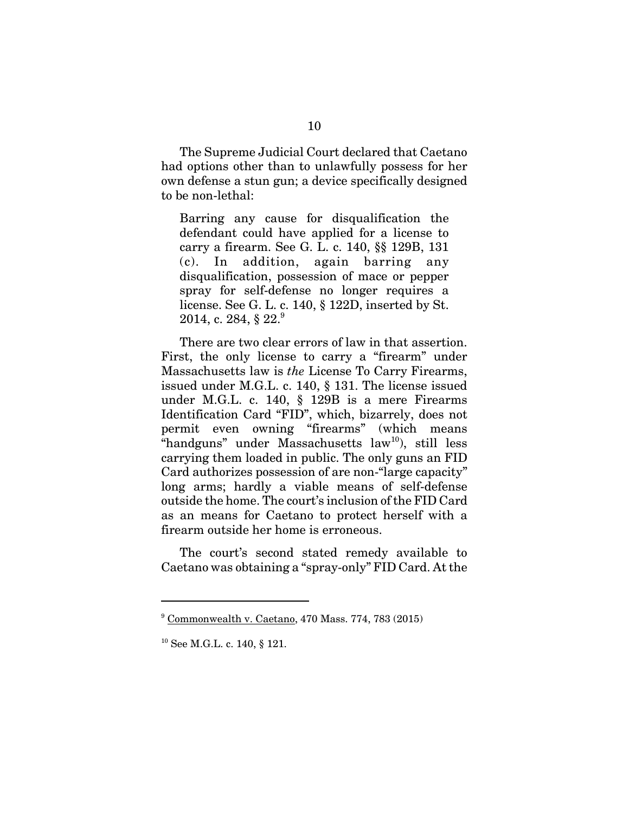The Supreme Judicial Court declared that Caetano had options other than to unlawfully possess for her own defense a stun gun; a device specifically designed to be non-lethal:

Barring any cause for disqualification the defendant could have applied for a license to carry a firearm. See G. L. c. 140, §§ 129B, 131 (c). In addition, again barring any disqualification, possession of mace or pepper spray for self-defense no longer requires a license. See G. L. c. 140, § 122D, inserted by St. 2014, c. 284, § 22.<sup>9</sup>

There are two clear errors of law in that assertion. First, the only license to carry a "firearm" under Massachusetts law is *the* License To Carry Firearms, issued under M.G.L. c. 140, § 131. The license issued under M.G.L. c. 140, § 129B is a mere Firearms Identification Card "FID", which, bizarrely, does not permit even owning "firearms" (which means "handguns" under Massachusetts  $law<sup>10</sup>$ , still less carrying them loaded in public. The only guns an FID Card authorizes possession of are non-"large capacity" long arms; hardly a viable means of self-defense outside the home. The court's inclusion of the FID Card as an means for Caetano to protect herself with a firearm outside her home is erroneous.

The court's second stated remedy available to Caetano was obtaining a "spray-only" FID Card. At the

<sup>&</sup>lt;sup>9</sup> Commonwealth v. Caetano, 470 Mass. 774, 783 (2015)

<sup>10</sup> See M.G.L. c. 140, § 121.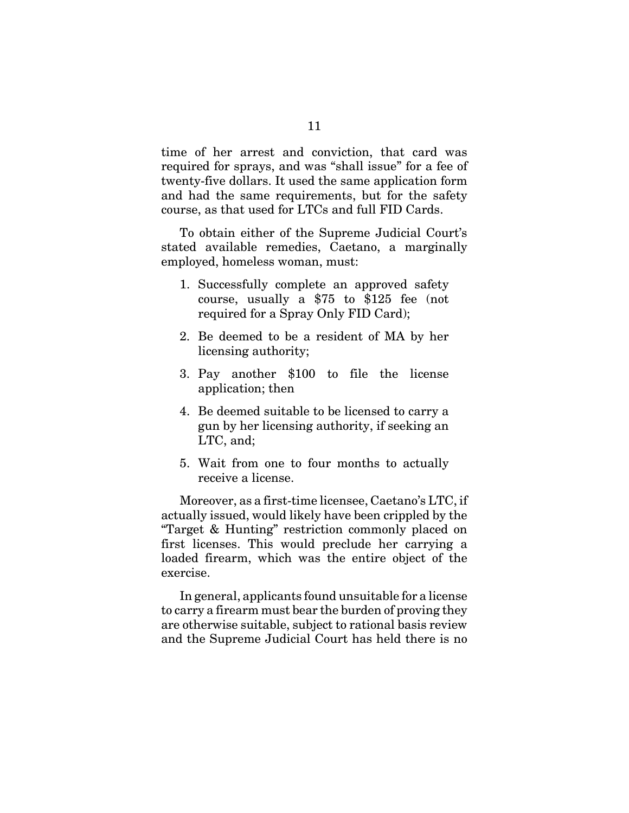time of her arrest and conviction, that card was required for sprays, and was "shall issue" for a fee of twenty-five dollars. It used the same application form and had the same requirements, but for the safety course, as that used for LTCs and full FID Cards.

To obtain either of the Supreme Judicial Court's stated available remedies, Caetano, a marginally employed, homeless woman, must:

- 1. Successfully complete an approved safety course, usually a \$75 to \$125 fee (not required for a Spray Only FID Card);
- 2. Be deemed to be a resident of MA by her licensing authority;
- 3. Pay another \$100 to file the license application; then
- 4. Be deemed suitable to be licensed to carry a gun by her licensing authority, if seeking an LTC, and;
- 5. Wait from one to four months to actually receive a license.

Moreover, as a first-time licensee, Caetano's LTC, if actually issued, would likely have been crippled by the "Target & Hunting" restriction commonly placed on first licenses. This would preclude her carrying a loaded firearm, which was the entire object of the exercise.

In general, applicants found unsuitable for a license to carry a firearm must bear the burden of proving they are otherwise suitable, subject to rational basis review and the Supreme Judicial Court has held there is no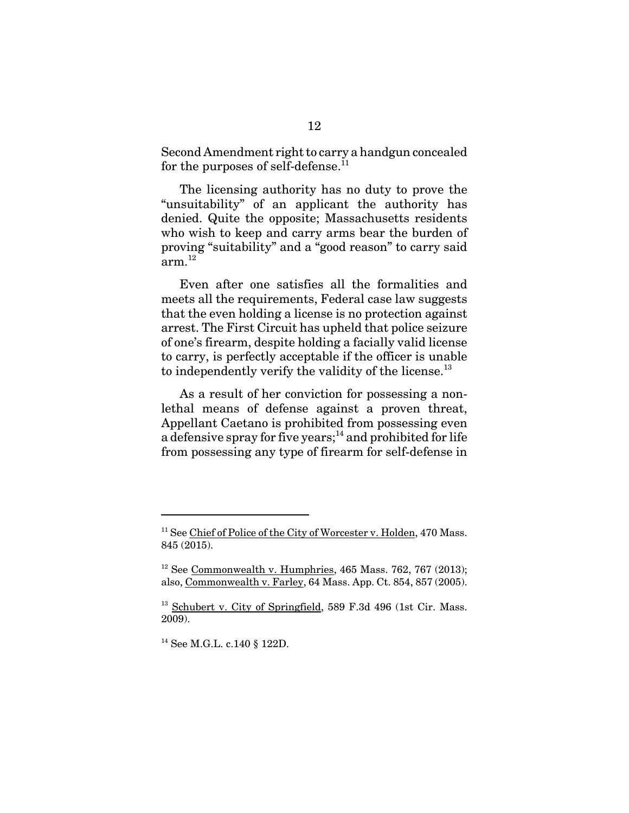Second Amendment right to carry a handgun concealed for the purposes of self-defense.<sup>11</sup>

The licensing authority has no duty to prove the "unsuitability" of an applicant the authority has denied. Quite the opposite; Massachusetts residents who wish to keep and carry arms bear the burden of proving "suitability" and a "good reason" to carry said  $\frac{1}{2}$ arm. $\frac{12}{1}$ 

Even after one satisfies all the formalities and meets all the requirements, Federal case law suggests that the even holding a license is no protection against arrest. The First Circuit has upheld that police seizure of one's firearm, despite holding a facially valid license to carry, is perfectly acceptable if the officer is unable to independently verify the validity of the license.<sup>13</sup>

As a result of her conviction for possessing a nonlethal means of defense against a proven threat, Appellant Caetano is prohibited from possessing even a defensive spray for five years; $14$  and prohibited for life from possessing any type of firearm for self-defense in

14 See M.G.L. c.140 § 122D.

 $11$  See Chief of Police of the City of Worcester v. Holden, 470 Mass. 845 (2015).

 $12$  See Commonwealth v. Humphries, 465 Mass. 762, 767 (2013); also, Commonwealth v. Farley, 64 Mass. App. Ct. 854, 857 (2005).

 $13$  Schubert v. City of Springfield, 589 F.3d 496 (1st Cir. Mass. 2009).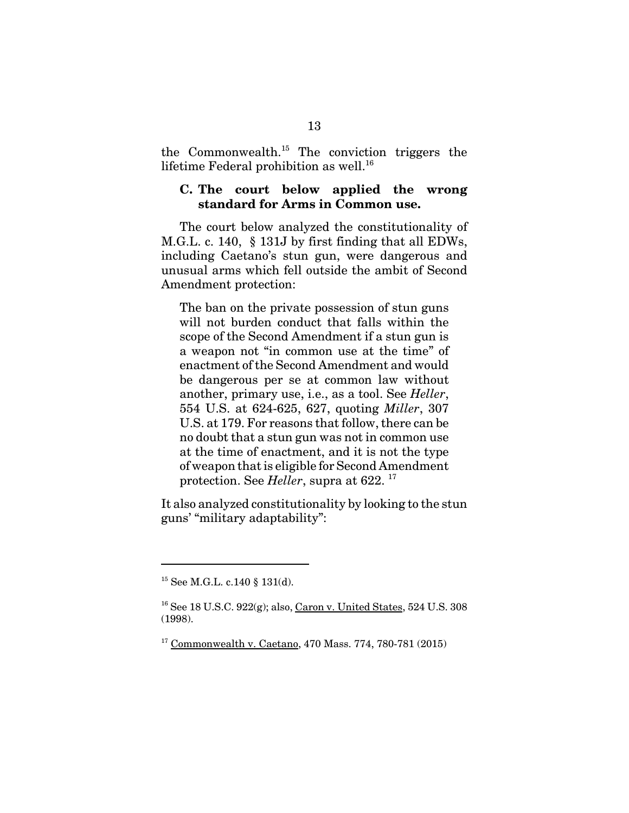the Commonwealth. $15$  The conviction triggers the lifetime Federal prohibition as well.<sup>16</sup>

## **C. The court below applied the wrong standard for Arms in Common use.**

The court below analyzed the constitutionality of M.G.L. c. 140, § 131J by first finding that all EDWs, including Caetano's stun gun, were dangerous and unusual arms which fell outside the ambit of Second Amendment protection:

The ban on the private possession of stun guns will not burden conduct that falls within the scope of the Second Amendment if a stun gun is a weapon not "in common use at the time" of enactment of the Second Amendment and would be dangerous per se at common law without another, primary use, i.e., as a tool. See *Heller*, 554 U.S. at 624-625, 627, quoting *Miller*, 307 U.S. at 179. For reasons that follow, there can be no doubt that a stun gun was not in common use at the time of enactment, and it is not the type of weapon that is eligible for Second Amendment protection. See *Heller*, supra at 622. 17

It also analyzed constitutionality by looking to the stun guns' "military adaptability":

<sup>15</sup> See M.G.L. c.140 § 131(d).

<sup>&</sup>lt;sup>16</sup> See 18 U.S.C. 922(g); also, Caron v. United States, 524 U.S. 308 (1998).

<sup>&</sup>lt;sup>17</sup> Commonwealth v. Caetano, 470 Mass. 774, 780-781 (2015)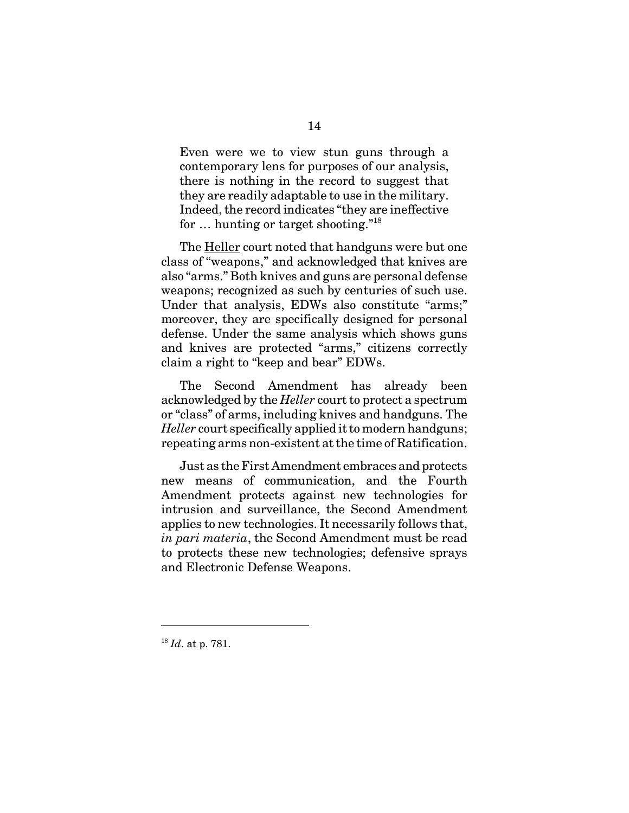Even were we to view stun guns through a contemporary lens for purposes of our analysis, there is nothing in the record to suggest that they are readily adaptable to use in the military. Indeed, the record indicates "they are ineffective for … hunting or target shooting."18

The **Heller** court noted that handguns were but one class of "weapons," and acknowledged that knives are also "arms." Both knives and guns are personal defense weapons; recognized as such by centuries of such use. Under that analysis, EDWs also constitute "arms;" moreover, they are specifically designed for personal defense. Under the same analysis which shows guns and knives are protected "arms," citizens correctly claim a right to "keep and bear" EDWs.

The Second Amendment has already been acknowledged by the *Heller* court to protect a spectrum or "class" of arms, including knives and handguns. The *Heller* court specifically applied it to modern handguns; repeating arms non-existent at the time of Ratification.

Just as the First Amendment embraces and protects new means of communication, and the Fourth Amendment protects against new technologies for intrusion and surveillance, the Second Amendment applies to new technologies. It necessarily follows that, *in pari materia*, the Second Amendment must be read to protects these new technologies; defensive sprays and Electronic Defense Weapons.

<sup>18</sup> *Id*. at p. 781.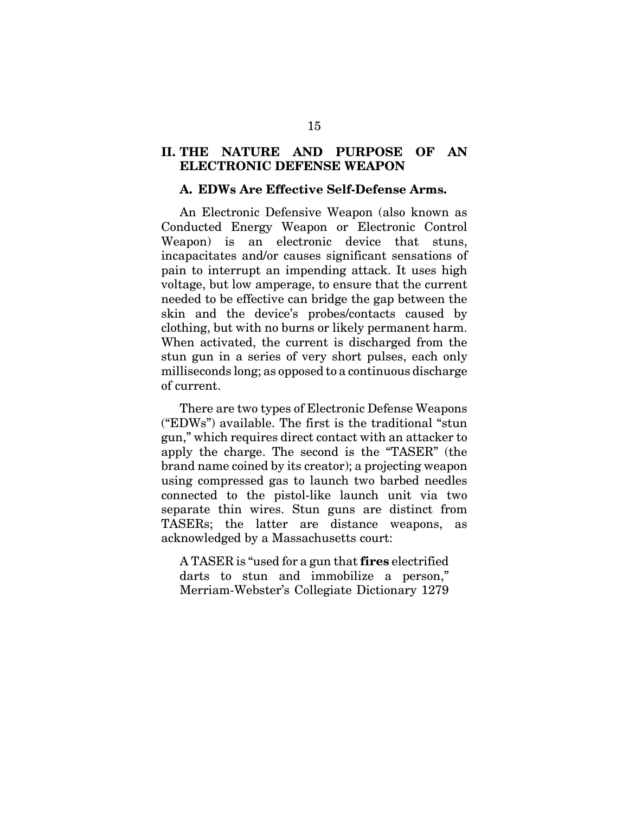### **II. THE NATURE AND PURPOSE OF AN ELECTRONIC DEFENSE WEAPON**

#### **A. EDWs Are Effective Self-Defense Arms.**

An Electronic Defensive Weapon (also known as Conducted Energy Weapon or Electronic Control Weapon) is an electronic device that stuns, incapacitates and/or causes significant sensations of pain to interrupt an impending attack. It uses high voltage, but low amperage, to ensure that the current needed to be effective can bridge the gap between the skin and the device's probes/contacts caused by clothing, but with no burns or likely permanent harm. When activated, the current is discharged from the stun gun in a series of very short pulses, each only milliseconds long; as opposed to a continuous discharge of current.

There are two types of Electronic Defense Weapons ("EDWs") available. The first is the traditional "stun gun," which requires direct contact with an attacker to apply the charge. The second is the "TASER" (the brand name coined by its creator); a projecting weapon using compressed gas to launch two barbed needles connected to the pistol-like launch unit via two separate thin wires. Stun guns are distinct from TASERs; the latter are distance weapons, as acknowledged by a Massachusetts court:

A TASER is "used for a gun that **fires** electrified darts to stun and immobilize a person," Merriam-Webster's Collegiate Dictionary 1279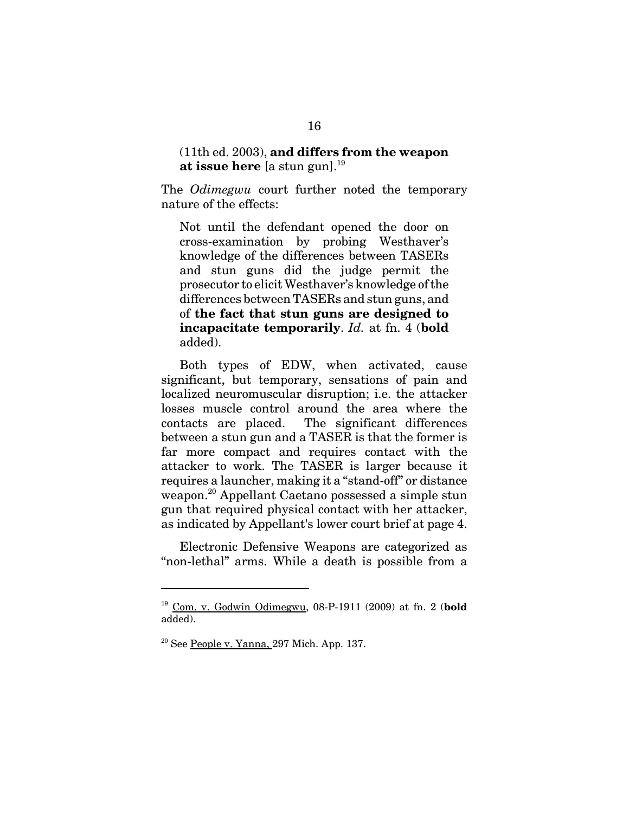## (11th ed. 2003), **and differs from the weapon at issue here** [a stun gun].<sup>19</sup>

The *Odimegwu* court further noted the temporary nature of the effects:

Not until the defendant opened the door on cross-examination by probing Westhaver's knowledge of the differences between TASERs and stun guns did the judge permit the prosecutor to elicit Westhaver's knowledge of the differences between TASERs and stun guns, and of **the fact that stun guns are designed to incapacitate temporarily**. *Id.* at fn. 4 (**bold** added).

Both types of EDW, when activated, cause significant, but temporary, sensations of pain and localized neuromuscular disruption; i.e. the attacker losses muscle control around the area where the contacts are placed. The significant differences between a stun gun and a TASER is that the former is far more compact and requires contact with the attacker to work. The TASER is larger because it requires a launcher, making it a "stand-off" or distance weapon.20 Appellant Caetano possessed a simple stun gun that required physical contact with her attacker, as indicated by Appellant's lower court brief at page 4.

Electronic Defensive Weapons are categorized as "non-lethal" arms. While a death is possible from a

<sup>19</sup> Com. v. Godwin Odimegwu, 08-P-1911 (2009) at fn. 2 (**bold** added).

 $20$  See People v. Yanna, 297 Mich. App. 137.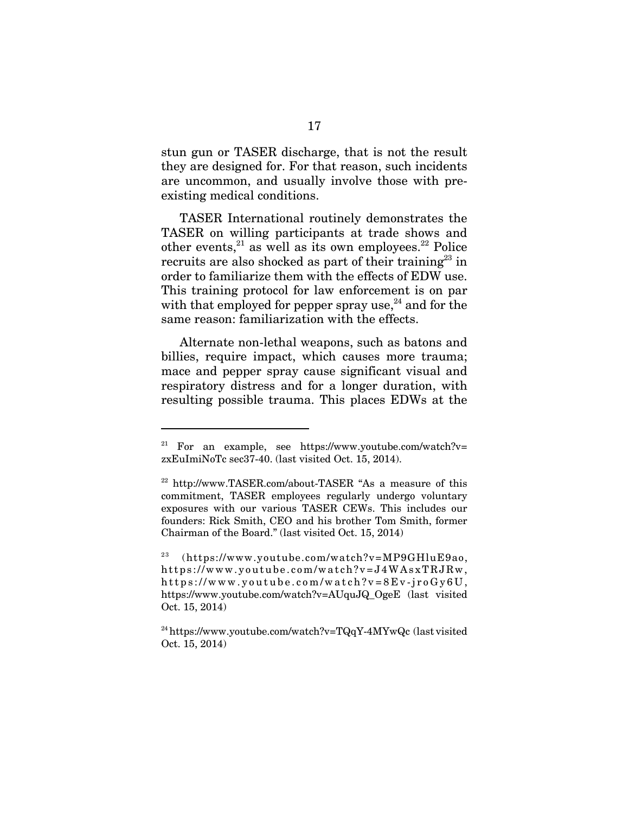stun gun or TASER discharge, that is not the result they are designed for. For that reason, such incidents are uncommon, and usually involve those with preexisting medical conditions.

TASER International routinely demonstrates the TASER on willing participants at trade shows and other events, $^{21}$  as well as its own employees. $^{22}$  Police recruits are also shocked as part of their training<sup>23</sup> in order to familiarize them with the effects of EDW use. This training protocol for law enforcement is on par with that employed for pepper spray use, $^{24}$  and for the same reason: familiarization with the effects.

Alternate non-lethal weapons, such as batons and billies, require impact, which causes more trauma; mace and pepper spray cause significant visual and respiratory distress and for a longer duration, with resulting possible trauma. This places EDWs at the

<sup>&</sup>lt;sup>21</sup> For an example, see https://www.youtube.com/watch?v= zxEuImiNoTc sec37-40. (last visited Oct. 15, 2014).

<sup>22</sup> http://www.TASER.com/about-TASER "As a measure of this commitment, TASER employees regularly undergo voluntary exposures with our various TASER CEWs. This includes our founders: Rick Smith, CEO and his brother Tom Smith, former Chairman of the Board." (last visited Oct. 15, 2014)

 $23$  (https://www.youtube.com/watch?v=MP9GHluE9ao, https://www.youtube.com/watch?v=J4WAsxTRJRw, https://www.youtube.com/watch?v=8Ev-jroGy6U, https://www.youtube.com/watch?v=AUquJQ\_OgeE (last visited Oct. 15, 2014)

 $^{24}$ https://www.youtube.com/watch?v=TQqY-4MYwQc (last visited Oct. 15, 2014)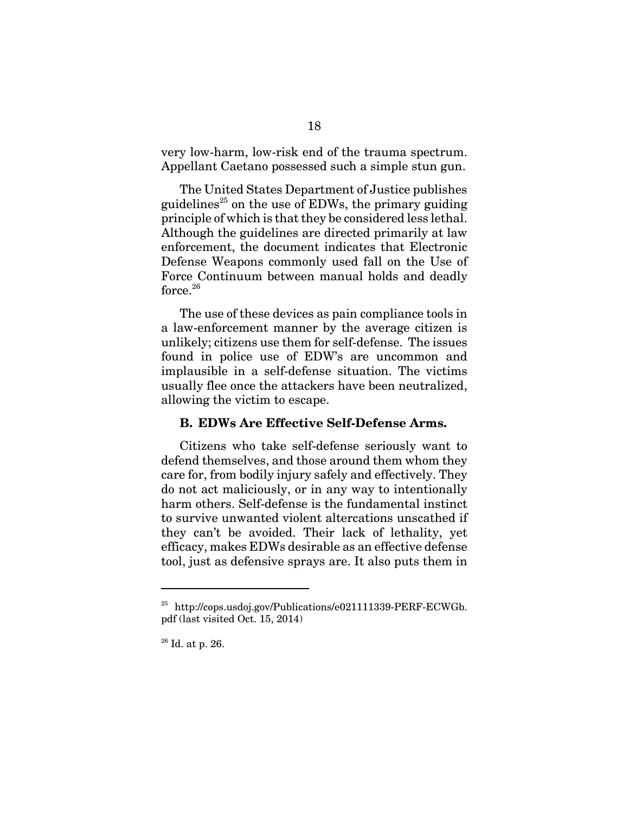very low-harm, low-risk end of the trauma spectrum. Appellant Caetano possessed such a simple stun gun.

The United States Department of Justice publishes guidelines<sup>25</sup> on the use of EDWs, the primary guiding principle of which is that they be considered less lethal. Although the guidelines are directed primarily at law enforcement, the document indicates that Electronic Defense Weapons commonly used fall on the Use of Force Continuum between manual holds and deadly  $force<sup>26</sup>$ 

The use of these devices as pain compliance tools in a law-enforcement manner by the average citizen is unlikely; citizens use them for self-defense. The issues found in police use of EDW's are uncommon and implausible in a self-defense situation. The victims usually flee once the attackers have been neutralized, allowing the victim to escape.

#### **B. EDWs Are Effective Self-Defense Arms.**

Citizens who take self-defense seriously want to defend themselves, and those around them whom they care for, from bodily injury safely and effectively. They do not act maliciously, or in any way to intentionally harm others. Self-defense is the fundamental instinct to survive unwanted violent altercations unscathed if they can't be avoided. Their lack of lethality, yet efficacy, makes EDWs desirable as an effective defense tool, just as defensive sprays are. It also puts them in

<sup>25</sup> http://cops.usdoj.gov/Publications/e021111339-PERF-ECWGb. pdf (last visited Oct. 15, 2014)

 $26$  Id. at p. 26.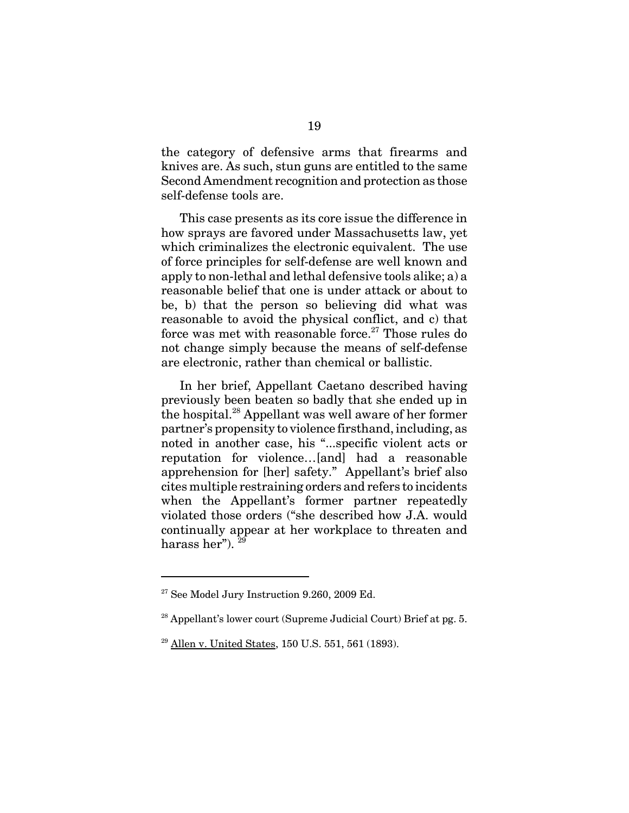the category of defensive arms that firearms and knives are. As such, stun guns are entitled to the same Second Amendment recognition and protection as those self-defense tools are.

This case presents as its core issue the difference in how sprays are favored under Massachusetts law, yet which criminalizes the electronic equivalent. The use of force principles for self-defense are well known and apply to non-lethal and lethal defensive tools alike; a) a reasonable belief that one is under attack or about to be, b) that the person so believing did what was reasonable to avoid the physical conflict, and c) that force was met with reasonable force.<sup>27</sup> Those rules do not change simply because the means of self-defense are electronic, rather than chemical or ballistic.

In her brief, Appellant Caetano described having previously been beaten so badly that she ended up in the hospital.<sup>28</sup> Appellant was well aware of her former partner's propensity to violence firsthand, including, as noted in another case, his "...specific violent acts or reputation for violence…[and] had a reasonable apprehension for [her] safety." Appellant's brief also cites multiple restraining orders and refers to incidents when the Appellant's former partner repeatedly violated those orders ("she described how J.A. would continually appear at her workplace to threaten and harass her").  $29$ 

 $27$  See Model Jury Instruction 9.260, 2009 Ed.

 $^{28}$  Appellant's lower court (Supreme Judicial Court) Brief at pg. 5.

<sup>&</sup>lt;sup>29</sup> Allen v. United States, 150 U.S. 551, 561 (1893).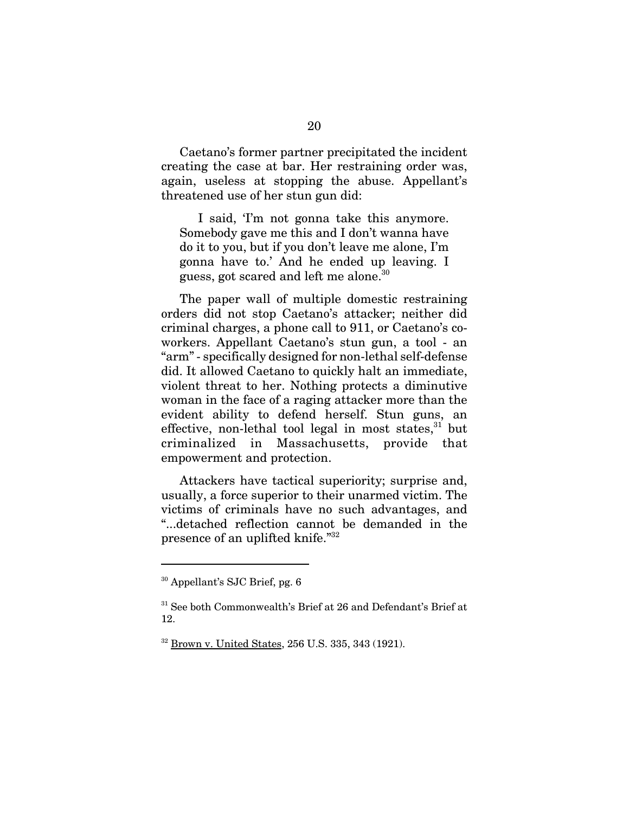Caetano's former partner precipitated the incident creating the case at bar. Her restraining order was, again, useless at stopping the abuse. Appellant's threatened use of her stun gun did:

I said, 'I'm not gonna take this anymore. Somebody gave me this and I don't wanna have do it to you, but if you don't leave me alone, I'm gonna have to.' And he ended up leaving. I guess, got scared and left me alone.<sup>30</sup>

The paper wall of multiple domestic restraining orders did not stop Caetano's attacker; neither did criminal charges, a phone call to 911, or Caetano's coworkers. Appellant Caetano's stun gun, a tool - an "arm" - specifically designed for non-lethal self-defense did. It allowed Caetano to quickly halt an immediate, violent threat to her. Nothing protects a diminutive woman in the face of a raging attacker more than the evident ability to defend herself. Stun guns, an effective, non-lethal tool legal in most states,<sup>31</sup> but criminalized in Massachusetts, provide that empowerment and protection.

Attackers have tactical superiority; surprise and, usually, a force superior to their unarmed victim. The victims of criminals have no such advantages, and "...detached reflection cannot be demanded in the presence of an uplifted knife."32

<sup>30</sup> Appellant's SJC Brief, pg. 6

 $31$  See both Commonwealth's Brief at 26 and Defendant's Brief at 12.

<sup>32</sup> Brown v. United States, 256 U.S. 335, 343 (1921).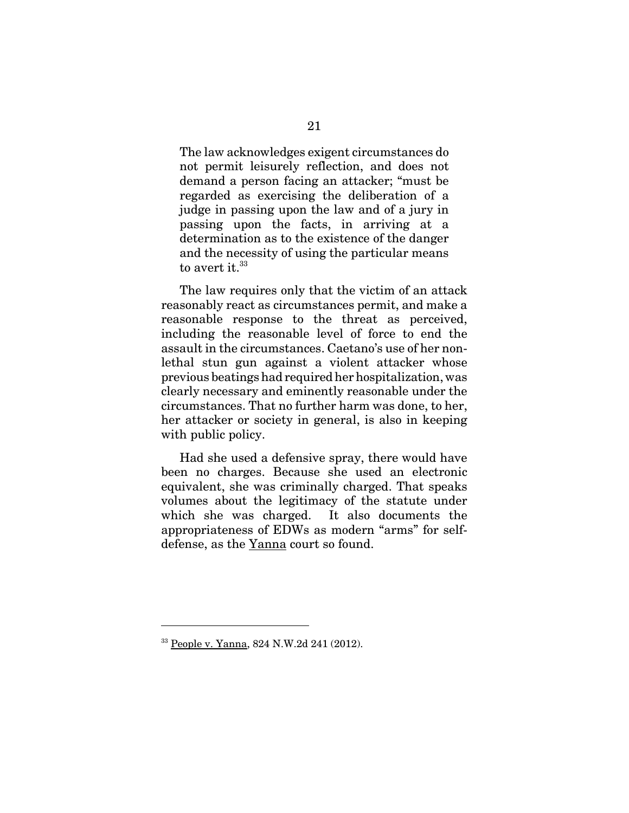The law acknowledges exigent circumstances do not permit leisurely reflection, and does not demand a person facing an attacker; "must be regarded as exercising the deliberation of a judge in passing upon the law and of a jury in passing upon the facts, in arriving at a determination as to the existence of the danger and the necessity of using the particular means to avert it.<sup>33</sup>

The law requires only that the victim of an attack reasonably react as circumstances permit, and make a reasonable response to the threat as perceived, including the reasonable level of force to end the assault in the circumstances. Caetano's use of her nonlethal stun gun against a violent attacker whose previous beatings had required her hospitalization, was clearly necessary and eminently reasonable under the circumstances. That no further harm was done, to her, her attacker or society in general, is also in keeping with public policy.

Had she used a defensive spray, there would have been no charges. Because she used an electronic equivalent, she was criminally charged. That speaks volumes about the legitimacy of the statute under which she was charged. It also documents the appropriateness of EDWs as modern "arms" for selfdefense, as the Yanna court so found.

<sup>33</sup> People v. Yanna, 824 N.W.2d 241 (2012).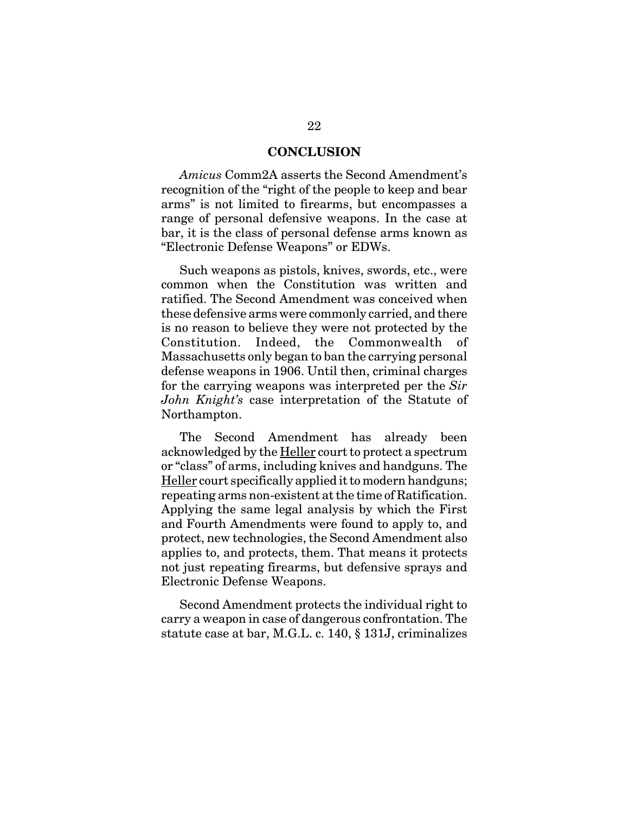#### **CONCLUSION**

*Amicus* Comm2A asserts the Second Amendment's recognition of the "right of the people to keep and bear arms" is not limited to firearms, but encompasses a range of personal defensive weapons. In the case at bar, it is the class of personal defense arms known as "Electronic Defense Weapons" or EDWs.

Such weapons as pistols, knives, swords, etc., were common when the Constitution was written and ratified. The Second Amendment was conceived when these defensive arms were commonly carried, and there is no reason to believe they were not protected by the Constitution. Indeed, the Commonwealth of Massachusetts only began to ban the carrying personal defense weapons in 1906. Until then, criminal charges for the carrying weapons was interpreted per the *Sir John Knight's* case interpretation of the Statute of Northampton.

The Second Amendment has already been acknowledged by the Heller court to protect a spectrum or "class" of arms, including knives and handguns. The Heller court specifically applied it to modern handguns; repeating arms non-existent at the time of Ratification. Applying the same legal analysis by which the First and Fourth Amendments were found to apply to, and protect, new technologies, the Second Amendment also applies to, and protects, them. That means it protects not just repeating firearms, but defensive sprays and Electronic Defense Weapons.

Second Amendment protects the individual right to carry a weapon in case of dangerous confrontation. The statute case at bar, M.G.L. c. 140, § 131J, criminalizes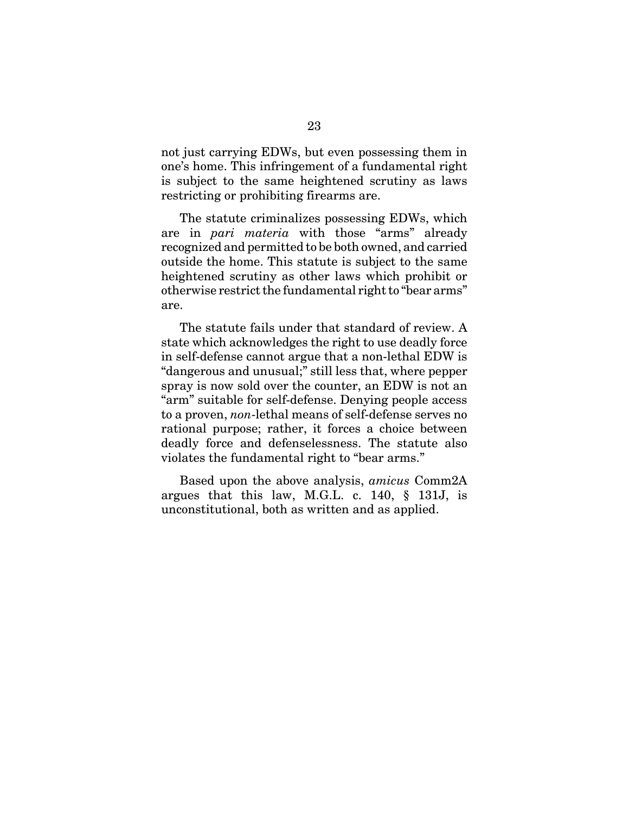not just carrying EDWs, but even possessing them in one's home. This infringement of a fundamental right is subject to the same heightened scrutiny as laws restricting or prohibiting firearms are.

The statute criminalizes possessing EDWs, which are in *pari materia* with those "arms" already recognized and permitted to be both owned, and carried outside the home. This statute is subject to the same heightened scrutiny as other laws which prohibit or otherwise restrict the fundamental right to "bear arms" are.

The statute fails under that standard of review. A state which acknowledges the right to use deadly force in self-defense cannot argue that a non-lethal EDW is "dangerous and unusual;" still less that, where pepper spray is now sold over the counter, an EDW is not an "arm" suitable for self-defense. Denying people access to a proven, *non*-lethal means of self-defense serves no rational purpose; rather, it forces a choice between deadly force and defenselessness. The statute also violates the fundamental right to "bear arms."

Based upon the above analysis, *amicus* Comm2A argues that this law, M.G.L. c. 140, § 131J, is unconstitutional, both as written and as applied.